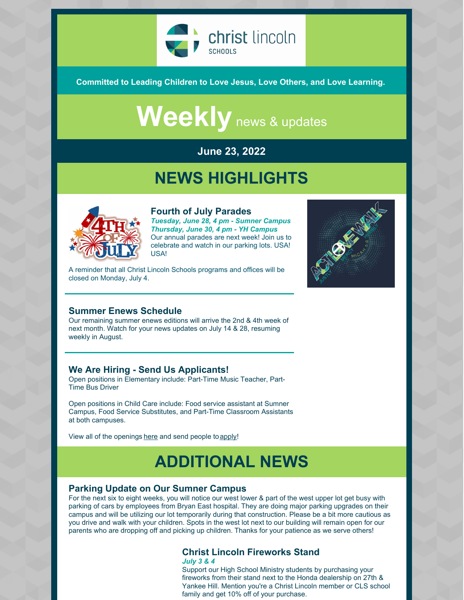

**Committed to Leading Children to Love Jesus, Love Others, and Love Learning.**

# Weekly news & updates

# **June 23, 2022**

# **NEWS HIGHLIGHTS**



#### **Fourth of July Parades**

*Tuesday, June 28, 4 pm - Sumner Campus Thursday, June 30, 4 pm - YH Campus* Our annual parades are next week! Join us to celebrate and watch in our parking lots. USA! USA!

A reminder that all Christ Lincoln Schools programs and offices will be closed on Monday, July 4.



#### **Summer Enews Schedule**

Our remaining summer enews editions will arrive the 2nd & 4th week of next month. Watch for your news updates on July 14 & 28, resuming weekly in August.

#### **We Are Hiring - Send Us Applicants!**

Open positions in Elementary include: Part-Time Music Teacher, Part-Time Bus Driver

Open positions in Child Care include: Food service assistant at Sumner Campus, Food Service Substitutes, and Part-Time Classroom Assistants at both campuses.

View all of the openings [here](https://christlincolnschools.org/workhere/) and send people to [apply](https://form.jotform.com/211184355646154)!

# **ADDITIONAL NEWS**

#### **Parking Update on Our Sumner Campus**

For the next six to eight weeks, you will notice our west lower & part of the west upper lot get busy with parking of cars by employees from Bryan East hospital. They are doing major parking upgrades on their campus and will be utilizing our lot temporarily during that construction. Please be a bit more cautious as you drive and walk with your children. Spots in the west lot next to our building will remain open for our parents who are dropping off and picking up children. Thanks for your patience as we serve others!

# **Christ Lincoln Fireworks Stand**

*July 3 & 4* Support our High School Ministry students by purchasing your fireworks from their stand next to the Honda dealership on 27th & Yankee Hill. Mention you're a Christ Lincoln member or CLS school family and get 10% off of your purchase.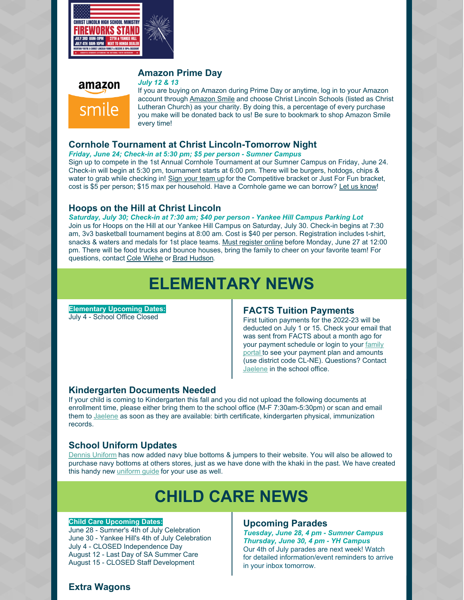

# **Amazon Prime Day**

#### *July 12 & 13*



amazon

If you are buying on Amazon during Prime Day or anytime, log in to your Amazon account through [Amazon](http://smile.amazon.com/ch/47-0519511) Smile and choose Christ Lincoln Schools (listed as Christ Lutheran Church) as your charity. By doing this, a percentage of every purchase you make will be donated back to us! Be sure to bookmark to shop Amazon Smile every time!

# **Cornhole Tournament at Christ Lincoln-Tomorrow Night**

#### *Friday, June 24; Check-in at 5:30 pm; \$5 per person - Sumner Campus*

Sign up to compete in the 1st Annual Cornhole Tournament at our Sumner Campus on Friday, June 24. Check-in will begin at 5:30 pm, tournament starts at 6:00 pm. There will be burgers, hotdogs, chips & water to grab while checking in! Sign your [team](https://r20.rs6.net/tn.jsp?f=001TeVHNAm3uj3RoPCR4W1sGfnSgrB-1ehRthCbGcfo4KUe9HWwm3DrO_2VhDhmXeH_LDsX52GfEXvAA5eMpIcTl6iHu5WlvQ7G1qPb0IlkmVa4k8-UvrZvV29FKss5Ua7EQcExrjmyAP_Tw3P8VmnBINOJBMPJz7sfgM6oWrw_J4MawrNB0gvAvx0c-XaSjW8t2jZGw-SJgpp6fQdmrfIoHX9Y6zYsObZx&c=STv-daLNgK8LzCDiNsp3hVBArv8Gk7vTeBOchO8tdeABQl3lBleBCA==&ch=mBGQwGsuzG51hQdbW4Nyy_IQAoJ0ZbUWk6Jw91gOEgeC8d36nIZ9Ng==) up for the Competitive bracket or Just For Fun bracket, cost is \$5 per person; \$15 max per household. Have a Cornhole game we can borrow? Let us [know](mailto:saphilson@christlincoln.org)!

# **Hoops on the Hill at Christ Lincoln**

*Saturday, July 30; Check-in at 7:30 am; \$40 per person - Yankee Hill Campus Parking Lot* Join us for Hoops on the Hill at our Yankee Hill Campus on Saturday, July 30. Check-in begins at 7:30 am, 3v3 basketball tournament begins at 8:00 am. Cost is \$40 per person. Registration includes t-shirt, snacks & waters and medals for 1st place teams. Must [register](https://r20.rs6.net/tn.jsp?f=001TeVHNAm3uj3RoPCR4W1sGfnSgrB-1ehRthCbGcfo4KUe9HWwm3DrO_2VhDhmXeH_gZEjS8mFwNKf1XLPV65PR77R7syKyMMZfAYufcXZtyPxoeiKOUcjkgplQVQ3VUkUI6vf8PG0oLnoytTSqw5HD0MEh1subgPD24rbzWjJXHrMNJPw0Uf5tiTdYsFId4zsYwjo9KF4uQpaONMzqmh1fTLFjiPByqxh&c=STv-daLNgK8LzCDiNsp3hVBArv8Gk7vTeBOchO8tdeABQl3lBleBCA==&ch=mBGQwGsuzG51hQdbW4Nyy_IQAoJ0ZbUWk6Jw91gOEgeC8d36nIZ9Ng==) online before Monday, June 27 at 12:00 pm. There will be food trucks and bounce houses, bring the family to cheer on your favorite team! For questions, contact Cole [Wiehe](mailto:cole-weihe@sandhills.com) or Brad [Hudson](mailto:bbhudson@aetna.com).

# **ELEMENTARY NEWS**

**Elementary Upcoming Dates:** July 4 - School Office Closed

# **FACTS Tuition Payments**

First tuition payments for the 2022-23 will be deducted on July 1 or 15. Check your email that was sent from FACTS about a month ago for your payment [schedule](https://logins2.renweb.com/logins/parentsweb-login.aspx) or login to your family portal to see your payment plan and amounts (use district code CL-NE). Questions? Contact [Jaelene](mailto:jkoll@christlincoln.org) in the school office.

# **Kindergarten Documents Needed**

If your child is coming to Kindergarten this fall and you did not upload the following documents at enrollment time, please either bring them to the school office (M-F 7:30am-5:30pm) or scan and email them to [Jaelene](mailto:jkoll@christlincoln.org) as soon as they are available: birth certificate, kindergarten physical, immunization records.

# **School Uniform Updates**

Dennis [Uniform](https://www.dennisuniform.com/collections/pln/grade-K,gender-Girls) has now added navy blue bottoms & jumpers to their website. You will also be allowed to purchase navy bottoms at others stores, just as we have done with the khaki in the past. We have created this handy new *[uniform](https://files.constantcontact.com/bce746ff501/49886ce4-a09d-4576-95b9-084e206d3c29.pdf) guide* for your use as well.

# **CHILD CARE NEWS**

#### **Child Care Upcoming Dates:**

June 28 - Sumner's 4th of July Celebration June 30 - Yankee Hill's 4th of July Celebration July 4 - CLOSED Independence Day August 12 - Last Day of SA Summer Care August 15 - CLOSED Staff Development

#### **Upcoming Parades**

*Tuesday, June 28, 4 pm - Sumner Campus Thursday, June 30, 4 pm - YH Campus* Our 4th of July parades are next week! Watch for detailed information/event reminders to arrive in your inbox tomorrow.

# **Extra Wagons**